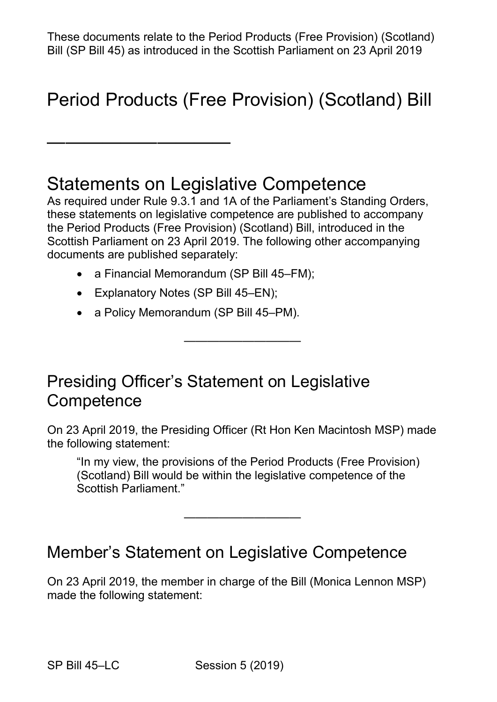These documents relate to the Period Products (Free Provision) (Scotland) Bill (SP Bill 45) as introduced in the Scottish Parliament on 23 April 2019

## Period Products (Free Provision) (Scotland) Bill

### Statements on Legislative Competence

 As required under Rule 9.3.1 and 1A of the Parliament's Standing Orders, these statements on legislative competence are published to accompany the Period Products (Free Provision) (Scotland) Bill, introduced in the Scottish Parliament on 23 April 2019. The following other accompanying documents are published separately:

- a Financial Memorandum (SP Bill 45–FM);
- Explanatory Notes (SP Bill 45–EN);

——————————

• a Policy Memorandum (SP Bill 45–PM).

#### Presiding Officer's Statement on Legislative **Competence**

On 23 April 2019, the Presiding Officer (Rt Hon Ken Macintosh MSP) made the following statement:

——————————

"In my view, the provisions of the Period Products (Free Provision) Scotland) Bill would be within the legislative competence of the ( Scottish Parliament."

————————————————————

#### Member's Statement on Legislative Competence

 On 23 April 2019, the member in charge of the Bill (Monica Lennon MSP) made the following statement: